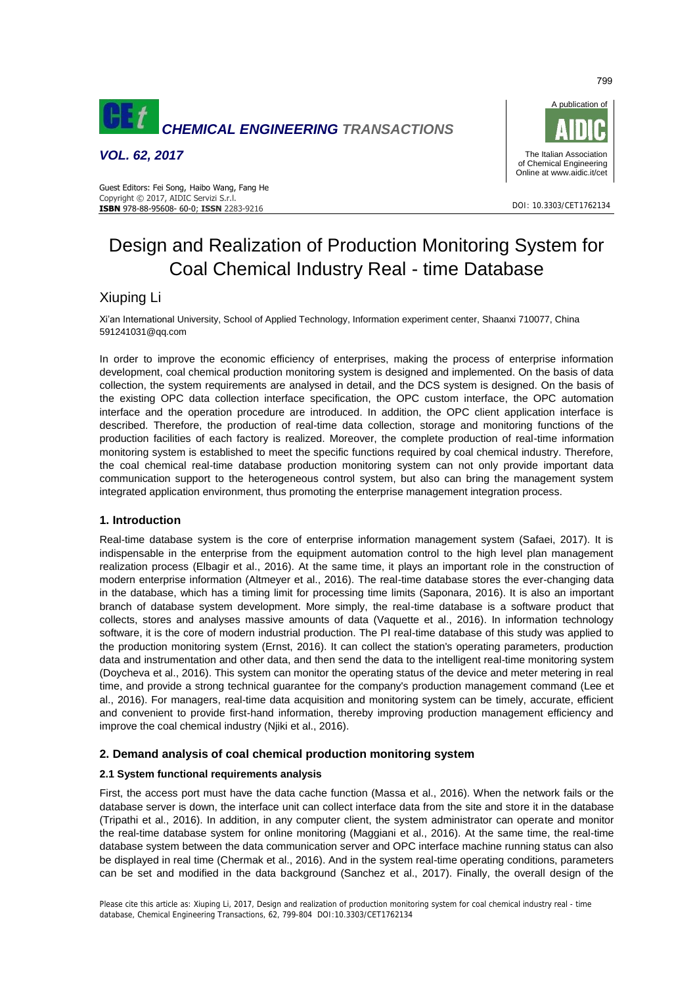

*VOL. 62, 2017*





DOI: 10.3303/CET1762134

# Design and Realization of Production Monitoring System for Coal Chemical Industry Real - time Database

# Xiuping Li

Xi'an International University, School of Applied Technology, Information experiment center, Shaanxi 710077, China 591241031@qq.com

In order to improve the economic efficiency of enterprises, making the process of enterprise information development, coal chemical production monitoring system is designed and implemented. On the basis of data collection, the system requirements are analysed in detail, and the DCS system is designed. On the basis of the existing OPC data collection interface specification, the OPC custom interface, the OPC automation interface and the operation procedure are introduced. In addition, the OPC client application interface is described. Therefore, the production of real-time data collection, storage and monitoring functions of the production facilities of each factory is realized. Moreover, the complete production of real-time information monitoring system is established to meet the specific functions required by coal chemical industry. Therefore, the coal chemical real-time database production monitoring system can not only provide important data communication support to the heterogeneous control system, but also can bring the management system integrated application environment, thus promoting the enterprise management integration process.

# **1. Introduction**

Real-time database system is the core of enterprise information management system (Safaei, 2017). It is indispensable in the enterprise from the equipment automation control to the high level plan management realization process (Elbagir et al., 2016). At the same time, it plays an important role in the construction of modern enterprise information (Altmeyer et al., 2016). The real-time database stores the ever-changing data in the database, which has a timing limit for processing time limits (Saponara, 2016). It is also an important branch of database system development. More simply, the real-time database is a software product that collects, stores and analyses massive amounts of data (Vaquette et al., 2016). In information technology software, it is the core of modern industrial production. The PI real-time database of this study was applied to the production monitoring system (Ernst, 2016). It can collect the station's operating parameters, production data and instrumentation and other data, and then send the data to the intelligent real-time monitoring system (Doycheva et al., 2016). This system can monitor the operating status of the device and meter metering in real time, and provide a strong technical guarantee for the company's production management command (Lee et al., 2016). For managers, real-time data acquisition and monitoring system can be timely, accurate, efficient and convenient to provide first-hand information, thereby improving production management efficiency and improve the coal chemical industry (Njiki et al., 2016).

# **2. Demand analysis of coal chemical production monitoring system**

## **2.1 System functional requirements analysis**

First, the access port must have the data cache function (Massa et al., 2016). When the network fails or the database server is down, the interface unit can collect interface data from the site and store it in the database (Tripathi et al., 2016). In addition, in any computer client, the system administrator can operate and monitor the real-time database system for online monitoring (Maggiani et al., 2016). At the same time, the real-time database system between the data communication server and OPC interface machine running status can also be displayed in real time (Chermak et al., 2016). And in the system real-time operating conditions, parameters can be set and modified in the data background (Sanchez et al., 2017). Finally, the overall design of the

799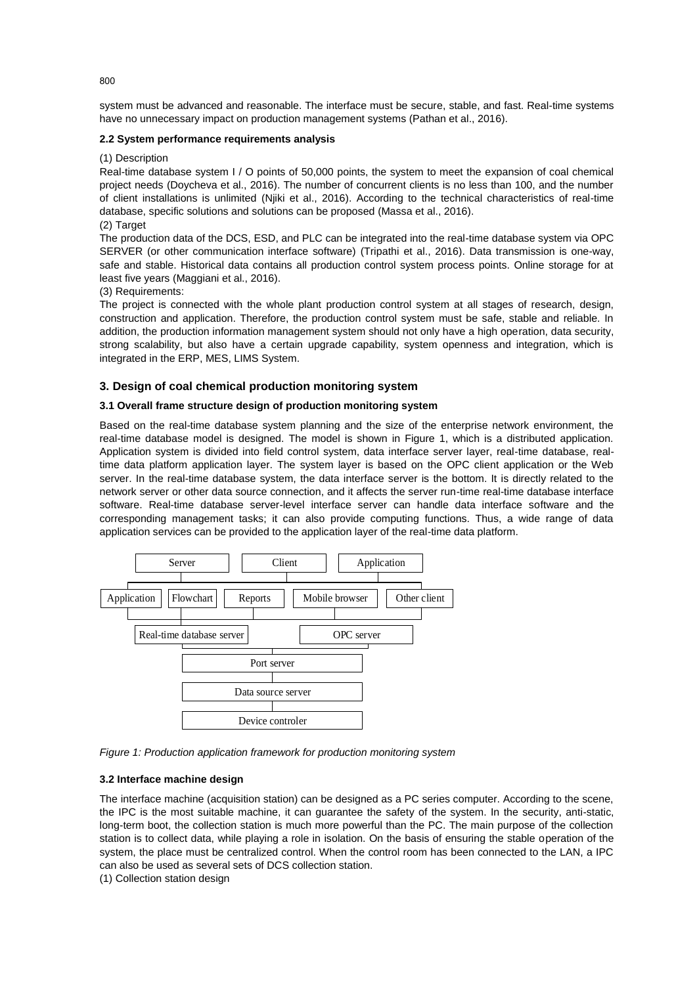system must be advanced and reasonable. The interface must be secure, stable, and fast. Real-time systems have no unnecessary impact on production management systems (Pathan et al., 2016).

#### **2.2 System performance requirements analysis**

#### (1) Description

Real-time database system I / O points of 50,000 points, the system to meet the expansion of coal chemical project needs (Doycheva et al., 2016). The number of concurrent clients is no less than 100, and the number of client installations is unlimited (Njiki et al., 2016). According to the technical characteristics of real-time database, specific solutions and solutions can be proposed (Massa et al., 2016).

### (2) Target

The production data of the DCS, ESD, and PLC can be integrated into the real-time database system via OPC SERVER (or other communication interface software) (Tripathi et al., 2016). Data transmission is one-way, safe and stable. Historical data contains all production control system process points. Online storage for at least five years (Maggiani et al., 2016).

#### (3) Requirements:

The project is connected with the whole plant production control system at all stages of research, design, construction and application. Therefore, the production control system must be safe, stable and reliable. In addition, the production information management system should not only have a high operation, data security, strong scalability, but also have a certain upgrade capability, system openness and integration, which is integrated in the ERP, MES, LIMS System.

#### **3. Design of coal chemical production monitoring system**

#### **3.1 Overall frame structure design of production monitoring system**

Based on the real-time database system planning and the size of the enterprise network environment, the real-time database model is designed. The model is shown in Figure 1, which is a distributed application. Application system is divided into field control system, data interface server layer, real-time database, realtime data platform application layer. The system layer is based on the OPC client application or the Web server. In the real-time database system, the data interface server is the bottom. It is directly related to the network server or other data source connection, and it affects the server run-time real-time database interface software. Real-time database server-level interface server can handle data interface software and the corresponding management tasks; it can also provide computing functions. Thus, a wide range of data application services can be provided to the application layer of the real-time data platform.



*Figure 1: Production application framework for production monitoring system* 

#### **3.2 Interface machine design**

The interface machine (acquisition station) can be designed as a PC series computer. According to the scene, the IPC is the most suitable machine, it can guarantee the safety of the system. In the security, anti-static, long-term boot, the collection station is much more powerful than the PC. The main purpose of the collection station is to collect data, while playing a role in isolation. On the basis of ensuring the stable operation of the system, the place must be centralized control. When the control room has been connected to the LAN, a IPC can also be used as several sets of DCS collection station.

(1) Collection station design

800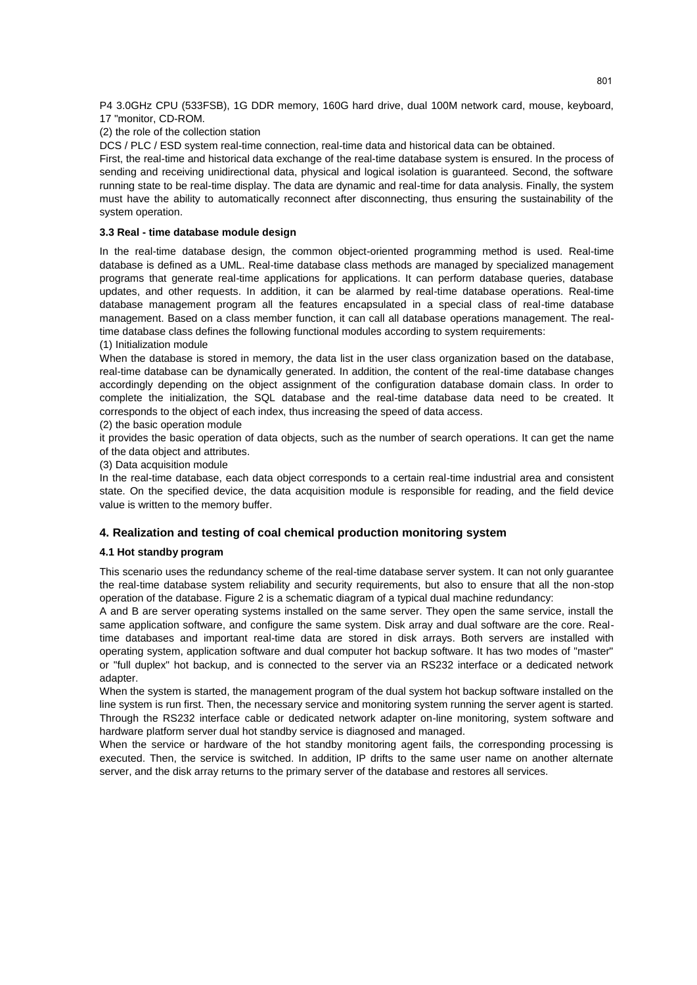P4 3.0GHz CPU (533FSB), 1G DDR memory, 160G hard drive, dual 100M network card, mouse, keyboard, 17 "monitor, CD-ROM.

#### (2) the role of the collection station

DCS / PLC / ESD system real-time connection, real-time data and historical data can be obtained.

First, the real-time and historical data exchange of the real-time database system is ensured. In the process of sending and receiving unidirectional data, physical and logical isolation is guaranteed. Second, the software running state to be real-time display. The data are dynamic and real-time for data analysis. Finally, the system must have the ability to automatically reconnect after disconnecting, thus ensuring the sustainability of the system operation.

#### **3.3 Real - time database module design**

In the real-time database design, the common object-oriented programming method is used. Real-time database is defined as a UML. Real-time database class methods are managed by specialized management programs that generate real-time applications for applications. It can perform database queries, database updates, and other requests. In addition, it can be alarmed by real-time database operations. Real-time database management program all the features encapsulated in a special class of real-time database management. Based on a class member function, it can call all database operations management. The realtime database class defines the following functional modules according to system requirements:

#### (1) Initialization module

When the database is stored in memory, the data list in the user class organization based on the database, real-time database can be dynamically generated. In addition, the content of the real-time database changes accordingly depending on the object assignment of the configuration database domain class. In order to complete the initialization, the SQL database and the real-time database data need to be created. It corresponds to the object of each index, thus increasing the speed of data access.

(2) the basic operation module

it provides the basic operation of data objects, such as the number of search operations. It can get the name of the data object and attributes.

(3) Data acquisition module

In the real-time database, each data object corresponds to a certain real-time industrial area and consistent state. On the specified device, the data acquisition module is responsible for reading, and the field device value is written to the memory buffer.

## **4. Realization and testing of coal chemical production monitoring system**

#### **4.1 Hot standby program**

This scenario uses the redundancy scheme of the real-time database server system. It can not only guarantee the real-time database system reliability and security requirements, but also to ensure that all the non-stop operation of the database. Figure 2 is a schematic diagram of a typical dual machine redundancy:

A and B are server operating systems installed on the same server. They open the same service, install the same application software, and configure the same system. Disk array and dual software are the core. Realtime databases and important real-time data are stored in disk arrays. Both servers are installed with operating system, application software and dual computer hot backup software. It has two modes of "master" or "full duplex" hot backup, and is connected to the server via an RS232 interface or a dedicated network adapter.

When the system is started, the management program of the dual system hot backup software installed on the line system is run first. Then, the necessary service and monitoring system running the server agent is started. Through the RS232 interface cable or dedicated network adapter on-line monitoring, system software and hardware platform server dual hot standby service is diagnosed and managed.

When the service or hardware of the hot standby monitoring agent fails, the corresponding processing is executed. Then, the service is switched. In addition, IP drifts to the same user name on another alternate server, and the disk array returns to the primary server of the database and restores all services.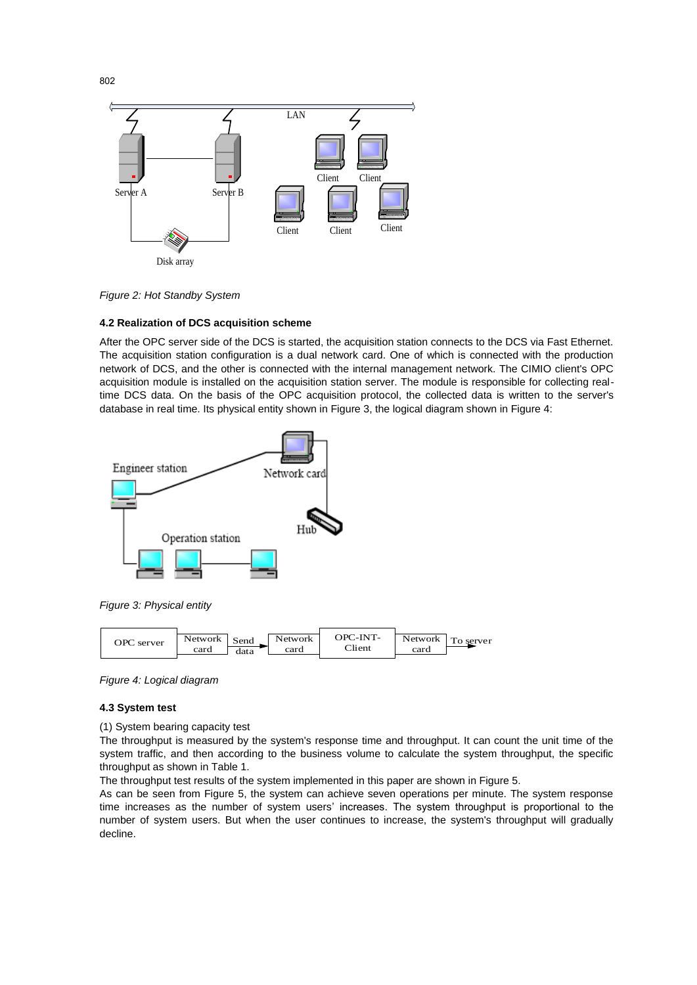

*Figure 2: Hot Standby System* 

#### **4.2 Realization of DCS acquisition scheme**

After the OPC server side of the DCS is started, the acquisition station connects to the DCS via Fast Ethernet. The acquisition station configuration is a dual network card. One of which is connected with the production network of DCS, and the other is connected with the internal management network. The CIMIO client's OPC acquisition module is installed on the acquisition station server. The module is responsible for collecting realtime DCS data. On the basis of the OPC acquisition protocol, the collected data is written to the server's database in real time. Its physical entity shown in Figure 3, the logical diagram shown in Figure 4:





*Figure 4: Logical diagram* 

#### **4.3 System test**

(1) System bearing capacity test

The throughput is measured by the system's response time and throughput. It can count the unit time of the system traffic, and then according to the business volume to calculate the system throughput, the specific throughput as shown in Table 1.

The throughput test results of the system implemented in this paper are shown in Figure 5.

As can be seen from Figure 5, the system can achieve seven operations per minute. The system response time increases as the number of system users' increases. The system throughput is proportional to the number of system users. But when the user continues to increase, the system's throughput will gradually decline.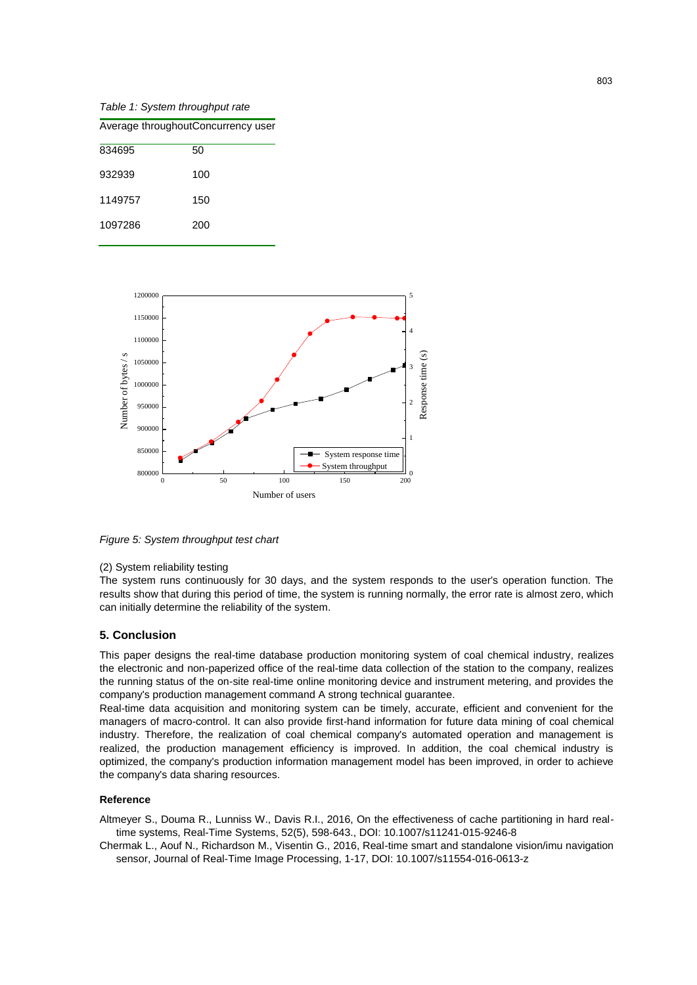*Table 1: System throughput rate* 

1097286 200

| Average throughoutConcurrency user |     |  |
|------------------------------------|-----|--|
| 834695                             | 50  |  |
| 932939                             | 100 |  |
| 1149757                            | 150 |  |



*Figure 5: System throughput test chart* 

#### (2) System reliability testing

The system runs continuously for 30 days, and the system responds to the user's operation function. The results show that during this period of time, the system is running normally, the error rate is almost zero, which can initially determine the reliability of the system.

## **5. Conclusion**

This paper designs the real-time database production monitoring system of coal chemical industry, realizes the electronic and non-paperized office of the real-time data collection of the station to the company, realizes the running status of the on-site real-time online monitoring device and instrument metering, and provides the company's production management command A strong technical guarantee.

Real-time data acquisition and monitoring system can be timely, accurate, efficient and convenient for the managers of macro-control. It can also provide first-hand information for future data mining of coal chemical industry. Therefore, the realization of coal chemical company's automated operation and management is realized, the production management efficiency is improved. In addition, the coal chemical industry is optimized, the company's production information management model has been improved, in order to achieve the company's data sharing resources.

#### **Reference**

Altmeyer S., Douma R., Lunniss W., Davis R.I., 2016, On the effectiveness of cache partitioning in hard realtime systems, Real-Time Systems, 52(5), 598-643., DOI: 10.1007/s11241-015-9246-8

Chermak L., Aouf N., Richardson M., Visentin G., 2016, Real-time smart and standalone vision/imu navigation sensor, Journal of Real-Time Image Processing, 1-17, DOI: 10.1007/s11554-016-0613-z